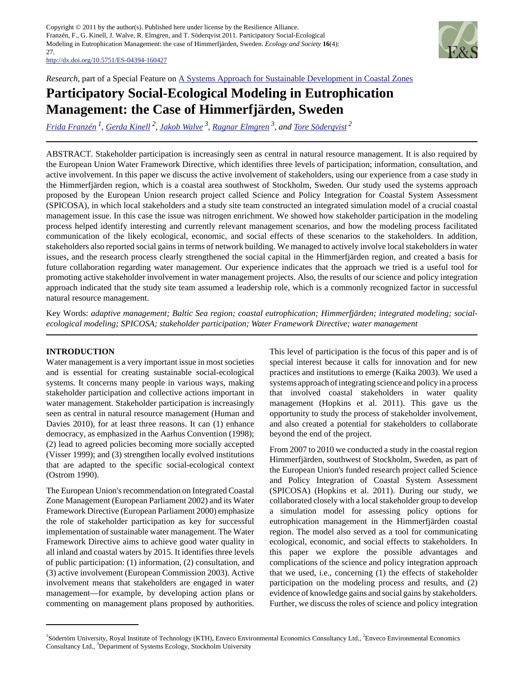<http://dx.doi.org/10.5751/ES-04394-160427>



*Research*, part of a Special Feature on [A Systems Approach for Sustainable Development in Coastal Zones](http://www.ecologyandsociety.org/viewissue.php?sf=67)

# **Participatory Social-Ecological Modeling in Eutrophication Management: the Case of Himmerfjärden, Sweden**

*[Frida Franzén](mailto:frida@enveco.se)<sup>1</sup> , [Gerda Kinell](mailto:gerda@enveco.se)<sup>2</sup> , [Jakob Walve](mailto:jakob.walve@ecology.su.se)<sup>3</sup> , [Ragnar Elmgren](mailto:ragnar.elmgren@ecology.su.se) 3, and [Tore Söderqvist](mailto:tore@enveco.se)<sup>2</sup>*

ABSTRACT. Stakeholder participation is increasingly seen as central in natural resource management. It is also required by the European Union Water Framework Directive, which identifies three levels of participation; information, consultation, and active involvement. In this paper we discuss the active involvement of stakeholders, using our experience from a case study in the Himmerfjärden region, which is a coastal area southwest of Stockholm, Sweden. Our study used the systems approach proposed by the European Union research project called Science and Policy Integration for Coastal System Assessment (SPICOSA), in which local stakeholders and a study site team constructed an integrated simulation model of a crucial coastal management issue. In this case the issue was nitrogen enrichment. We showed how stakeholder participation in the modeling process helped identify interesting and currently relevant management scenarios, and how the modeling process facilitated communication of the likely ecological, economic, and social effects of these scenarios to the stakeholders. In addition, stakeholders also reported social gains in terms of network building. We managed to actively involve local stakeholders in water issues, and the research process clearly strengthened the social capital in the Himmerfjärden region, and created a basis for future collaboration regarding water management. Our experience indicates that the approach we tried is a useful tool for promoting active stakeholder involvement in water management projects. Also, the results of our science and policy integration approach indicated that the study site team assumed a leadership role, which is a commonly recognized factor in successful natural resource management.

Key Words: *adaptive management; Baltic Sea region; coastal eutrophication; Himmerfjärden; integrated modeling; socialecological modeling; SPICOSA; stakeholder participation; Water Framework Directive; water management*

# **INTRODUCTION**

Water management is a very important issue in most societies and is essential for creating sustainable social-ecological systems. It concerns many people in various ways, making stakeholder participation and collective actions important in water management. Stakeholder participation is increasingly seen as central in natural resource management (Human and Davies 2010), for at least three reasons. It can (1) enhance democracy, as emphasized in the Aarhus Convention (1998); (2) lead to agreed policies becoming more socially accepted (Visser 1999); and (3) strengthen locally evolved institutions that are adapted to the specific social-ecological context (Ostrom 1990).

The European Union's recommendation on Integrated Coastal Zone Management (European Parliament 2002) and its Water Framework Directive (European Parliament 2000) emphasize the role of stakeholder participation as key for successful implementation of sustainable water management. The Water Framework Directive aims to achieve good water quality in all inland and coastal waters by 2015. It identifies three levels of public participation: (1) information, (2) consultation, and (3) active involvement (European Commission 2003). Active involvement means that stakeholders are engaged in water management—for example, by developing action plans or commenting on management plans proposed by authorities. This level of participation is the focus of this paper and is of special interest because it calls for innovation and for new practices and institutions to emerge (Kaika 2003). We used a systems approach of integrating science and policy in a process that involved coastal stakeholders in water quality management (Hopkins et al. 2011). This gave us the opportunity to study the process of stakeholder involvement, and also created a potential for stakeholders to collaborate beyond the end of the project.

From 2007 to 2010 we conducted a study in the coastal region Himmerfjärden, southwest of Stockholm, Sweden, as part of the European Union's funded research project called Science and Policy Integration of Coastal System Assessment (SPICOSA) (Hopkins et al. 2011). During our study, we collaborated closely with a local stakeholder group to develop a simulation model for assessing policy options for eutrophication management in the Himmerfjärden coastal region. The model also served as a tool for communicating ecological, economic, and social effects to stakeholders. In this paper we explore the possible advantages and complications of the science and policy integration approach that we used, i.e., concerning (1) the effects of stakeholder participation on the modeling process and results, and (2) evidence of knowledge gains and social gains by stakeholders. Further, we discuss the roles of science and policy integration

<sup>&</sup>lt;sup>1</sup>Södertörn University, Royal Institute of Technology (KTH), Enveco Environmental Economics Consultancy Ltd., <sup>2</sup>Enveco Environmental Economics Consultancy Ltd., <sup>3</sup>Department of Systems Ecology, Stockholm University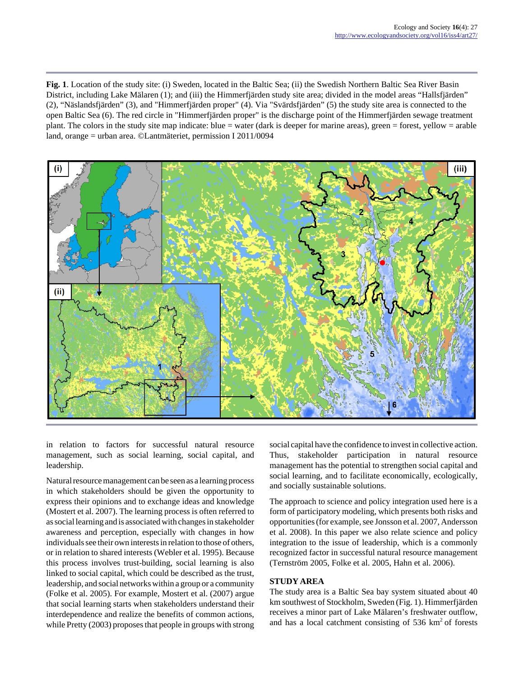**Fig. 1**. Location of the study site: (i) Sweden, located in the Baltic Sea; (ii) the Swedish Northern Baltic Sea River Basin District, including Lake Mälaren (1); and (iii) the Himmerfjärden study site area; divided in the model areas "Hallsfjärden" (2), "Näslandsfjärden" (3), and "Himmerfjärden proper" (4). Via "Svärdsfjärden" (5) the study site area is connected to the open Baltic Sea (6). The red circle in "Himmerfjärden proper" is the discharge point of the Himmerfjärden sewage treatment plant. The colors in the study site map indicate: blue = water (dark is deeper for marine areas), green = forest, yellow = arable land, orange = urban area. ©Lantmäteriet, permission I 2011/0094



in relation to factors for successful natural resource management, such as social learning, social capital, and leadership.

Natural resource management can be seen as a learning process in which stakeholders should be given the opportunity to express their opinions and to exchange ideas and knowledge (Mostert et al. 2007). The learning process is often referred to as social learning and is associated with changes in stakeholder awareness and perception, especially with changes in how individuals see their own interests in relation to those of others, or in relation to shared interests (Webler et al. 1995). Because this process involves trust-building, social learning is also linked to social capital, which could be described as the trust, leadership, and social networks within a group or a community (Folke et al. 2005). For example, Mostert et al. (2007) argue that social learning starts when stakeholders understand their interdependence and realize the benefits of common actions, while Pretty (2003) proposes that people in groups with strong social capital have the confidence to invest in collective action. Thus, stakeholder participation in natural resource management has the potential to strengthen social capital and social learning, and to facilitate economically, ecologically, and socially sustainable solutions.

The approach to science and policy integration used here is a form of participatory modeling, which presents both risks and opportunities (for example, see Jonsson et al. 2007, Andersson et al. 2008). In this paper we also relate science and policy integration to the issue of leadership, which is a commonly recognized factor in successful natural resource management (Ternström 2005, Folke et al. 2005, Hahn et al. 2006).

# **STUDY AREA**

The study area is a Baltic Sea bay system situated about 40 km southwest of Stockholm, Sweden (Fig. 1). Himmerfjärden receives a minor part of Lake Mälaren's freshwater outflow, and has a local catchment consisting of  $536 \text{ km}^2$  of forests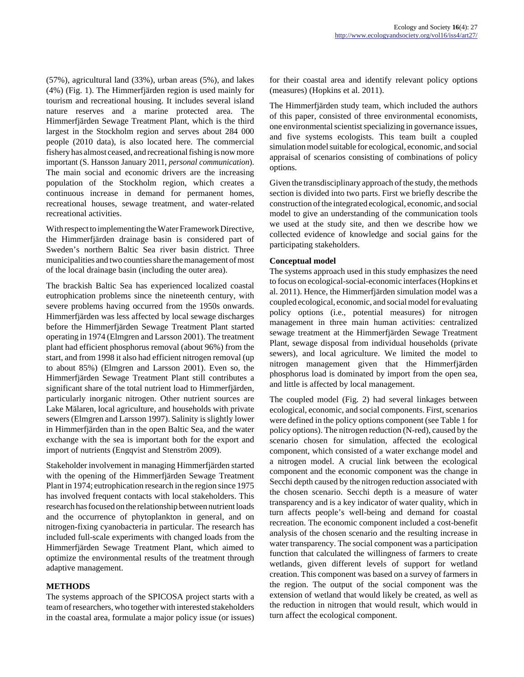(57%), agricultural land (33%), urban areas (5%), and lakes (4%) (Fig. 1). The Himmerfjärden region is used mainly for tourism and recreational housing. It includes several island nature reserves and a marine protected area. The Himmerfjärden Sewage Treatment Plant, which is the third largest in the Stockholm region and serves about 284 000 people (2010 data), is also located here. The commercial fishery has almost ceased, and recreational fishing is now more important (S. Hansson January 2011, *personal communication*). The main social and economic drivers are the increasing population of the Stockholm region, which creates a continuous increase in demand for permanent homes, recreational houses, sewage treatment, and water-related recreational activities.

With respect to implementing the Water Framework Directive, the Himmerfjärden drainage basin is considered part of Sweden's northern Baltic Sea river basin district. Three municipalities and two counties share the management of most of the local drainage basin (including the outer area).

The brackish Baltic Sea has experienced localized coastal eutrophication problems since the nineteenth century, with severe problems having occurred from the 1950s onwards. Himmerfjärden was less affected by local sewage discharges before the Himmerfjärden Sewage Treatment Plant started operating in 1974 (Elmgren and Larsson 2001). The treatment plant had efficient phosphorus removal (about 96%) from the start, and from 1998 it also had efficient nitrogen removal (up to about 85%) (Elmgren and Larsson 2001). Even so, the Himmerfjärden Sewage Treatment Plant still contributes a significant share of the total nutrient load to Himmerfjärden, particularly inorganic nitrogen. Other nutrient sources are Lake Mälaren, local agriculture, and households with private sewers (Elmgren and Larsson 1997). Salinity is slightly lower in Himmerfjärden than in the open Baltic Sea, and the water exchange with the sea is important both for the export and import of nutrients (Engqvist and Stenström 2009).

Stakeholder involvement in managing Himmerfjärden started with the opening of the Himmerfjärden Sewage Treatment Plant in 1974; eutrophication research in the region since 1975 has involved frequent contacts with local stakeholders. This research has focused on the relationship between nutrient loads and the occurrence of phytoplankton in general, and on nitrogen-fixing cyanobacteria in particular. The research has included full-scale experiments with changed loads from the Himmerfjärden Sewage Treatment Plant, which aimed to optimize the environmental results of the treatment through adaptive management.

# **METHODS**

The systems approach of the SPICOSA project starts with a team of researchers, who together with interested stakeholders in the coastal area, formulate a major policy issue (or issues) for their coastal area and identify relevant policy options (measures) (Hopkins et al. 2011).

The Himmerfjärden study team, which included the authors of this paper, consisted of three environmental economists, one environmental scientist specializing in governance issues, and five systems ecologists. This team built a coupled simulation model suitable for ecological, economic, and social appraisal of scenarios consisting of combinations of policy options.

Given the transdisciplinary approach of the study, the methods section is divided into two parts. First we briefly describe the construction of the integrated ecological, economic, and social model to give an understanding of the communication tools we used at the study site, and then we describe how we collected evidence of knowledge and social gains for the participating stakeholders.

#### **Conceptual model**

The systems approach used in this study emphasizes the need to focus on ecological-social-economic interfaces (Hopkins et al. 2011). Hence, the Himmerfjärden simulation model was a coupled ecological, economic, and social model for evaluating policy options (i.e., potential measures) for nitrogen management in three main human activities: centralized sewage treatment at the Himmerfjärden Sewage Treatment Plant, sewage disposal from individual households (private sewers), and local agriculture. We limited the model to nitrogen management given that the Himmerfjärden phosphorus load is dominated by import from the open sea, and little is affected by local management.

The coupled model (Fig. 2) had several linkages between ecological, economic, and social components. First, scenarios were defined in the policy options component (see Table 1 for policy options). The nitrogen reduction (N-red), caused by the scenario chosen for simulation, affected the ecological component, which consisted of a water exchange model and a nitrogen model. A crucial link between the ecological component and the economic component was the change in Secchi depth caused by the nitrogen reduction associated with the chosen scenario. Secchi depth is a measure of water transparency and is a key indicator of water quality, which in turn affects people's well-being and demand for coastal recreation. The economic component included a cost-benefit analysis of the chosen scenario and the resulting increase in water transparency. The social component was a participation function that calculated the willingness of farmers to create wetlands, given different levels of support for wetland creation. This component was based on a survey of farmers in the region. The output of the social component was the extension of wetland that would likely be created, as well as the reduction in nitrogen that would result, which would in turn affect the ecological component.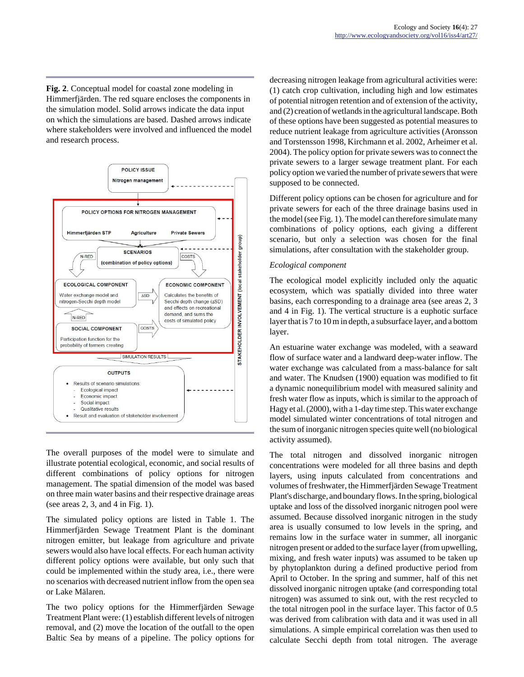**Fig. 2**. Conceptual model for coastal zone modeling in Himmerfjärden. The red square encloses the components in the simulation model. Solid arrows indicate the data input on which the simulations are based. Dashed arrows indicate where stakeholders were involved and influenced the model and research process.



The overall purposes of the model were to simulate and illustrate potential ecological, economic, and social results of different combinations of policy options for nitrogen management. The spatial dimension of the model was based on three main water basins and their respective drainage areas (see areas 2, 3, and 4 in Fig. 1).

The simulated policy options are listed in Table 1. The Himmerfjärden Sewage Treatment Plant is the dominant nitrogen emitter, but leakage from agriculture and private sewers would also have local effects. For each human activity different policy options were available, but only such that could be implemented within the study area, i.e., there were no scenarios with decreased nutrient inflow from the open sea or Lake Mälaren.

The two policy options for the Himmerfjärden Sewage Treatment Plant were: (1) establish different levels of nitrogen removal, and (2) move the location of the outfall to the open Baltic Sea by means of a pipeline. The policy options for decreasing nitrogen leakage from agricultural activities were: (1) catch crop cultivation, including high and low estimates of potential nitrogen retention and of extension of the activity, and (2) creation of wetlands in the agricultural landscape. Both of these options have been suggested as potential measures to reduce nutrient leakage from agriculture activities (Aronsson and Torstensson 1998, Kirchmann et al. 2002, Arheimer et al. 2004). The policy option for private sewers was to connect the private sewers to a larger sewage treatment plant. For each policy option we varied the number of private sewers that were supposed to be connected.

Different policy options can be chosen for agriculture and for private sewers for each of the three drainage basins used in the model (see Fig. 1). The model can therefore simulate many combinations of policy options, each giving a different scenario, but only a selection was chosen for the final simulations, after consultation with the stakeholder group.

# *Ecological component*

The ecological model explicitly included only the aquatic ecosystem, which was spatially divided into three water basins, each corresponding to a drainage area (see areas 2, 3 and 4 in Fig. 1). The vertical structure is a euphotic surface layer that is 7 to 10 m in depth, a subsurface layer, and a bottom layer.

An estuarine water exchange was modeled, with a seaward flow of surface water and a landward deep-water inflow. The water exchange was calculated from a mass-balance for salt and water. The Knudsen (1900) equation was modified to fit a dynamic nonequilibrium model with measured salinity and fresh water flow as inputs, which is similar to the approach of Hagy et al. (2000), with a 1-day time step. This water exchange model simulated winter concentrations of total nitrogen and the sum of inorganic nitrogen species quite well (no biological activity assumed).

The total nitrogen and dissolved inorganic nitrogen concentrations were modeled for all three basins and depth layers, using inputs calculated from concentrations and volumes of freshwater, the Himmerfjärden Sewage Treatment Plant's discharge, and boundary flows. In the spring, biological uptake and loss of the dissolved inorganic nitrogen pool were assumed. Because dissolved inorganic nitrogen in the study area is usually consumed to low levels in the spring, and remains low in the surface water in summer, all inorganic nitrogen present or added to the surface layer (from upwelling, mixing, and fresh water inputs) was assumed to be taken up by phytoplankton during a defined productive period from April to October. In the spring and summer, half of this net dissolved inorganic nitrogen uptake (and corresponding total nitrogen) was assumed to sink out, with the rest recycled to the total nitrogen pool in the surface layer. This factor of 0.5 was derived from calibration with data and it was used in all simulations. A simple empirical correlation was then used to calculate Secchi depth from total nitrogen. The average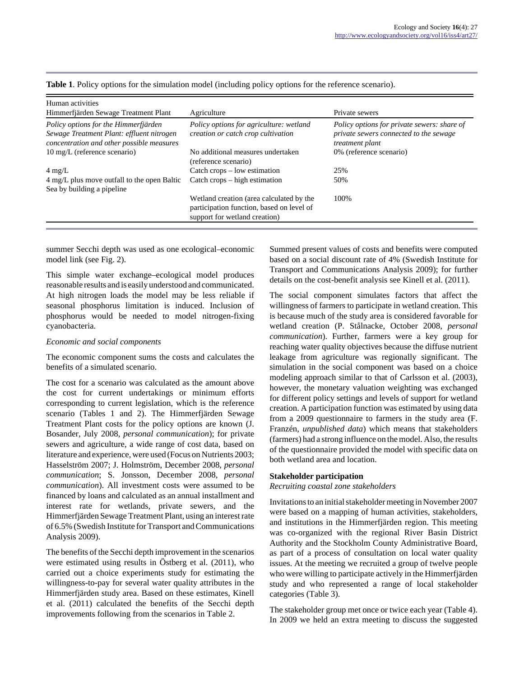| Human activities<br>Himmerfjärden Sewage Treatment Plant                                                                       | Agriculture                                                                                                            | Private sewers                                                                                           |
|--------------------------------------------------------------------------------------------------------------------------------|------------------------------------------------------------------------------------------------------------------------|----------------------------------------------------------------------------------------------------------|
| Policy options for the Himmerfjärden<br>Sewage Treatment Plant: effluent nitrogen<br>concentration and other possible measures | Policy options for agriculture: wetland<br>creation or catch crop cultivation                                          | Policy options for private sewers: share of<br>private sewers connected to the sewage<br>treatment plant |
| 10 mg/L (reference scenario)                                                                                                   | No additional measures undertaken<br>(reference scenario)                                                              | 0% (reference scenario)                                                                                  |
| $4 \text{ mg/L}$                                                                                                               | Catch crops $-$ low estimation                                                                                         | 25%                                                                                                      |
| 4 mg/L plus move outfall to the open Baltic<br>Sea by building a pipeline                                                      | Catch crops $-$ high estimation                                                                                        | 50%                                                                                                      |
|                                                                                                                                | Wetland creation (area calculated by the<br>participation function, based on level of<br>support for wetland creation) | 100\%                                                                                                    |

**Table 1**. Policy options for the simulation model (including policy options for the reference scenario).

summer Secchi depth was used as one ecological–economic model link (see Fig. 2).

This simple water exchange–ecological model produces reasonable results and is easily understood and communicated. At high nitrogen loads the model may be less reliable if seasonal phosphorus limitation is induced. Inclusion of phosphorus would be needed to model nitrogen-fixing cyanobacteria.

#### *Economic and social components*

The economic component sums the costs and calculates the benefits of a simulated scenario.

The cost for a scenario was calculated as the amount above the cost for current undertakings or minimum efforts corresponding to current legislation, which is the reference scenario (Tables 1 and 2). The Himmerfjärden Sewage Treatment Plant costs for the policy options are known (J. Bosander, July 2008, *personal communication*); for private sewers and agriculture, a wide range of cost data, based on literature and experience, were used (Focus on Nutrients 2003; Hasselström 2007; J. Holmström, December 2008, *personal communication*; S. Jonsson, December 2008, *personal communication*). All investment costs were assumed to be financed by loans and calculated as an annual installment and interest rate for wetlands, private sewers, and the Himmerfjärden Sewage Treatment Plant, using an interest rate of 6.5% (Swedish Institute for Transport and Communications Analysis 2009).

The benefits of the Secchi depth improvement in the scenarios were estimated using results in Östberg et al. (2011), who carried out a choice experiments study for estimating the willingness-to-pay for several water quality attributes in the Himmerfjärden study area. Based on these estimates, Kinell et al. (2011) calculated the benefits of the Secchi depth improvements following from the scenarios in Table 2.

Summed present values of costs and benefits were computed based on a social discount rate of 4% (Swedish Institute for Transport and Communications Analysis 2009); for further details on the cost-benefit analysis see Kinell et al. (2011).

The social component simulates factors that affect the willingness of farmers to participate in wetland creation. This is because much of the study area is considered favorable for wetland creation (P. Stålnacke, October 2008, *personal communication*). Further, farmers were a key group for reaching water quality objectives because the diffuse nutrient leakage from agriculture was regionally significant. The simulation in the social component was based on a choice modeling approach similar to that of Carlsson et al. (2003), however, the monetary valuation weighting was exchanged for different policy settings and levels of support for wetland creation. A participation function was estimated by using data from a 2009 questionnaire to farmers in the study area (F. Franzén, *unpublished data*) which means that stakeholders (farmers) had a strong influence on the model. Also, the results of the questionnaire provided the model with specific data on both wetland area and location.

#### **Stakeholder participation**

*Recruiting coastal zone stakeholders*

Invitations to an initial stakeholder meeting in November 2007 were based on a mapping of human activities, stakeholders, and institutions in the Himmerfjärden region. This meeting was co-organized with the regional River Basin District Authority and the Stockholm County Administrative Board, as part of a process of consultation on local water quality issues. At the meeting we recruited a group of twelve people who were willing to participate actively in the Himmerfjärden study and who represented a range of local stakeholder categories (Table 3).

The stakeholder group met once or twice each year (Table 4). In 2009 we held an extra meeting to discuss the suggested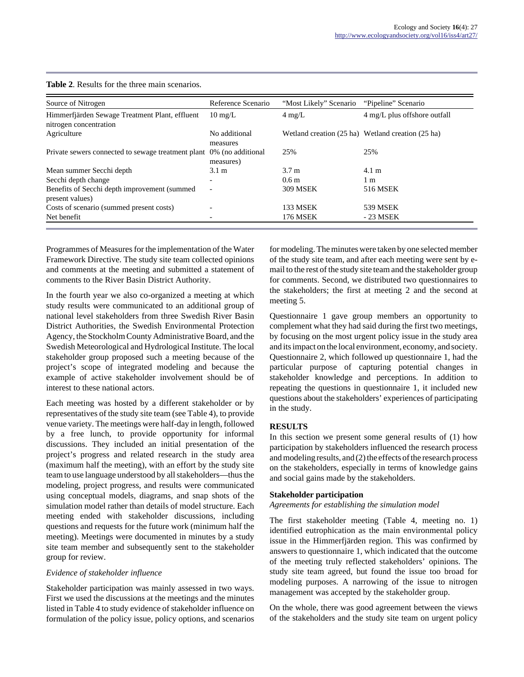| Source of Nitrogen                                                       | Reference Scenario        | "Most Likely" Scenario | "Pipeline" Scenario                               |
|--------------------------------------------------------------------------|---------------------------|------------------------|---------------------------------------------------|
| Himmerfjärden Sewage Treatment Plant, effluent<br>nitrogen concentration | $10 \text{ mg/L}$         | $4 \text{ mg/L}$       | 4 mg/L plus offshore outfall                      |
| Agriculture                                                              | No additional<br>measures |                        | Wetland creation (25 ha) Wetland creation (25 ha) |
| Private sewers connected to sewage treatment plant 0% (no additional     | measures)                 | 25%                    | 25%                                               |
| Mean summer Secchi depth                                                 | $3.1 \text{ m}$           | 3.7 <sub>m</sub>       | 4.1 m                                             |
| Secchi depth change                                                      |                           | 0.6 <sub>m</sub>       | 1 <sub>m</sub>                                    |
| Benefits of Secchi depth improvement (summed)<br>present values)         | $\overline{\phantom{a}}$  | <b>309 MSEK</b>        | 516 MSEK                                          |
| Costs of scenario (summed present costs)                                 |                           | 133 MSEK               | 539 MSEK                                          |
| Net benefit                                                              |                           | 176 MSEK               | - 23 MSEK                                         |

**Table 2**. Results for the three main scenarios.

Programmes of Measures for the implementation of the Water Framework Directive. The study site team collected opinions and comments at the meeting and submitted a statement of comments to the River Basin District Authority.

In the fourth year we also co-organized a meeting at which study results were communicated to an additional group of national level stakeholders from three Swedish River Basin District Authorities, the Swedish Environmental Protection Agency, the Stockholm County Administrative Board, and the Swedish Meteorological and Hydrological Institute. The local stakeholder group proposed such a meeting because of the project's scope of integrated modeling and because the example of active stakeholder involvement should be of interest to these national actors.

Each meeting was hosted by a different stakeholder or by representatives of the study site team (see Table 4), to provide venue variety. The meetings were half-day in length, followed by a free lunch, to provide opportunity for informal discussions. They included an initial presentation of the project's progress and related research in the study area (maximum half the meeting), with an effort by the study site team to use language understood by all stakeholders—thus the modeling, project progress, and results were communicated using conceptual models, diagrams, and snap shots of the simulation model rather than details of model structure. Each meeting ended with stakeholder discussions, including questions and requests for the future work (minimum half the meeting). Meetings were documented in minutes by a study site team member and subsequently sent to the stakeholder group for review.

## *Evidence of stakeholder influence*

Stakeholder participation was mainly assessed in two ways. First we used the discussions at the meetings and the minutes listed in Table 4 to study evidence of stakeholder influence on formulation of the policy issue, policy options, and scenarios for modeling. The minutes were taken by one selected member of the study site team, and after each meeting were sent by email to the rest of the study site team and the stakeholder group for comments. Second, we distributed two questionnaires to the stakeholders; the first at meeting 2 and the second at meeting 5.

Questionnaire 1 gave group members an opportunity to complement what they had said during the first two meetings, by focusing on the most urgent policy issue in the study area and its impact on the local environment, economy, and society. Questionnaire 2, which followed up questionnaire 1, had the particular purpose of capturing potential changes in stakeholder knowledge and perceptions. In addition to repeating the questions in questionnaire 1, it included new questions about the stakeholders' experiences of participating in the study.

## **RESULTS**

In this section we present some general results of (1) how participation by stakeholders influenced the research process and modeling results, and (2) the effects of the research process on the stakeholders, especially in terms of knowledge gains and social gains made by the stakeholders.

## **Stakeholder participation**

*Agreements for establishing the simulation model*

The first stakeholder meeting (Table 4, meeting no. 1) identified eutrophication as the main environmental policy issue in the Himmerfjärden region. This was confirmed by answers to questionnaire 1, which indicated that the outcome of the meeting truly reflected stakeholders' opinions. The study site team agreed, but found the issue too broad for modeling purposes. A narrowing of the issue to nitrogen management was accepted by the stakeholder group.

On the whole, there was good agreement between the views of the stakeholders and the study site team on urgent policy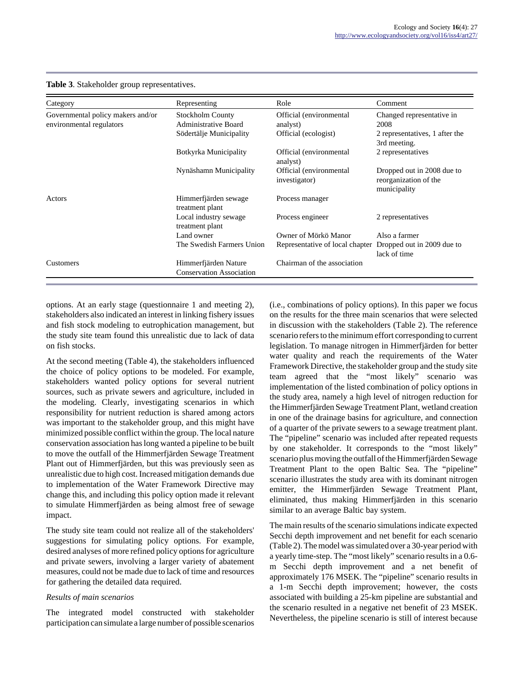| Category                          | Representing                                    | Role                                     | Comment                                                             |
|-----------------------------------|-------------------------------------------------|------------------------------------------|---------------------------------------------------------------------|
| Governmental policy makers and/or | <b>Stockholm County</b><br>Administrative Board | Official (environmental                  | Changed representative in                                           |
| environmental regulators          |                                                 | analyst)                                 | 2008                                                                |
|                                   | Södertälje Municipality                         | Official (ecologist)                     | 2 representatives, 1 after the<br>3rd meeting.                      |
|                                   | Botkyrka Municipality                           | Official (environmental<br>analyst)      | 2 representatives                                                   |
|                                   | Nynäshamn Municipality                          | Official (environmental<br>investigator) | Dropped out in 2008 due to<br>reorganization of the<br>municipality |
| Actors                            | Himmerfjärden sewage<br>treatment plant         | Process manager                          |                                                                     |
|                                   | Local industry sewage<br>treatment plant        | Process engineer                         | 2 representatives                                                   |
|                                   | Land owner                                      | Owner of Mörkö Manor                     | Also a farmer                                                       |
|                                   | The Swedish Farmers Union                       | Representative of local chapter          | Dropped out in 2009 due to<br>lack of time                          |
| <b>Customers</b>                  | Himmerfjärden Nature                            | Chairman of the association              |                                                                     |
|                                   | <b>Conservation Association</b>                 |                                          |                                                                     |

**Table 3**. Stakeholder group representatives.

options. At an early stage (questionnaire 1 and meeting 2), stakeholders also indicated an interest in linking fishery issues and fish stock modeling to eutrophication management, but the study site team found this unrealistic due to lack of data on fish stocks.

At the second meeting (Table 4), the stakeholders influenced the choice of policy options to be modeled. For example, stakeholders wanted policy options for several nutrient sources, such as private sewers and agriculture, included in the modeling. Clearly, investigating scenarios in which responsibility for nutrient reduction is shared among actors was important to the stakeholder group, and this might have minimized possible conflict within the group. The local nature conservation association has long wanted a pipeline to be built to move the outfall of the Himmerfjärden Sewage Treatment Plant out of Himmerfjärden, but this was previously seen as unrealistic due to high cost. Increased mitigation demands due to implementation of the Water Framework Directive may change this, and including this policy option made it relevant to simulate Himmerfjärden as being almost free of sewage impact.

The study site team could not realize all of the stakeholders' suggestions for simulating policy options. For example, desired analyses of more refined policy options for agriculture and private sewers, involving a larger variety of abatement measures, could not be made due to lack of time and resources for gathering the detailed data required.

## *Results of main scenarios*

The integrated model constructed with stakeholder participation can simulate a large number of possible scenarios (i.e., combinations of policy options). In this paper we focus on the results for the three main scenarios that were selected in discussion with the stakeholders (Table 2). The reference scenario refers to the minimum effort corresponding to current legislation. To manage nitrogen in Himmerfjärden for better water quality and reach the requirements of the Water Framework Directive, the stakeholder group and the study site team agreed that the "most likely" scenario was implementation of the listed combination of policy options in the study area, namely a high level of nitrogen reduction for the Himmerfjärden Sewage Treatment Plant, wetland creation in one of the drainage basins for agriculture, and connection of a quarter of the private sewers to a sewage treatment plant. The "pipeline" scenario was included after repeated requests by one stakeholder. It corresponds to the "most likely" scenario plus moving the outfall of the Himmerfjärden Sewage Treatment Plant to the open Baltic Sea. The "pipeline" scenario illustrates the study area with its dominant nitrogen emitter, the Himmerfjärden Sewage Treatment Plant, eliminated, thus making Himmerfjärden in this scenario similar to an average Baltic bay system.

The main results of the scenario simulations indicate expected Secchi depth improvement and net benefit for each scenario (Table 2). The model was simulated over a 30-year period with a yearly time-step. The "most likely" scenario results in a 0.6 m Secchi depth improvement and a net benefit of approximately 176 MSEK. The "pipeline" scenario results in a 1-m Secchi depth improvement; however, the costs associated with building a 25-km pipeline are substantial and the scenario resulted in a negative net benefit of 23 MSEK. Nevertheless, the pipeline scenario is still of interest because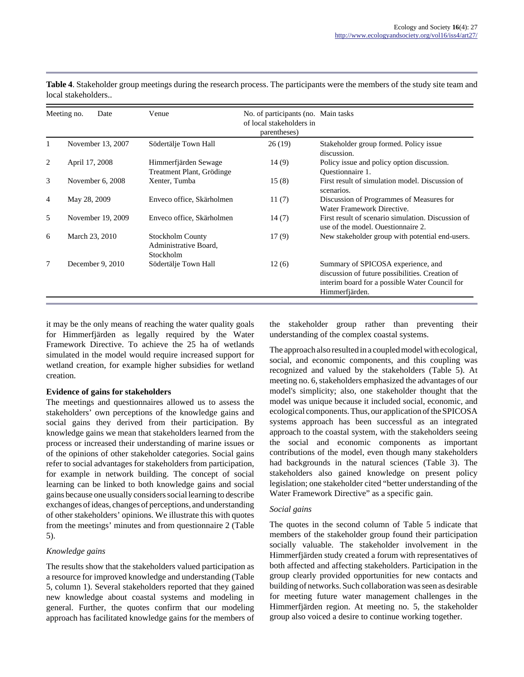|                | Meeting no.<br>Date | Venue                                                         | No. of participants (no. Main tasks<br>of local stakeholders in<br>parentheses) |                                                                                                                                                           |
|----------------|---------------------|---------------------------------------------------------------|---------------------------------------------------------------------------------|-----------------------------------------------------------------------------------------------------------------------------------------------------------|
|                | November 13, 2007   | Södertälje Town Hall                                          | 26(19)                                                                          | Stakeholder group formed. Policy issue<br>discussion.                                                                                                     |
| 2              | April 17, 2008      | Himmerfjärden Sewage<br>Treatment Plant, Grödinge             | 14(9)                                                                           | Policy issue and policy option discussion.<br>Ouestionnaire 1.                                                                                            |
| 3              | November 6, 2008    | Xenter, Tumba                                                 | 15(8)                                                                           | First result of simulation model. Discussion of<br>scenarios.                                                                                             |
| $\overline{4}$ | May 28, 2009        | Enveco office, Skärholmen                                     | 11(7)                                                                           | Discussion of Programmes of Measures for<br>Water Framework Directive.                                                                                    |
| 5              | November 19, 2009   | Enveco office, Skärholmen                                     | 14(7)                                                                           | First result of scenario simulation. Discussion of<br>use of the model. Questionnaire 2.                                                                  |
| 6              | March 23, 2010      | <b>Stockholm County</b><br>Administrative Board,<br>Stockholm | 17(9)                                                                           | New stakeholder group with potential end-users.                                                                                                           |
| 7              | December 9, 2010    | Södertälje Town Hall                                          | 12(6)                                                                           | Summary of SPICOSA experience, and<br>discussion of future possibilities. Creation of<br>interim board for a possible Water Council for<br>Himmerfjärden. |

**Table 4**. Stakeholder group meetings during the research process. The participants were the members of the study site team and local stakeholders..

it may be the only means of reaching the water quality goals for Himmerfjärden as legally required by the Water Framework Directive. To achieve the 25 ha of wetlands simulated in the model would require increased support for wetland creation, for example higher subsidies for wetland creation.

# **Evidence of gains for stakeholders**

The meetings and questionnaires allowed us to assess the stakeholders' own perceptions of the knowledge gains and social gains they derived from their participation. By knowledge gains we mean that stakeholders learned from the process or increased their understanding of marine issues or of the opinions of other stakeholder categories. Social gains refer to social advantages for stakeholders from participation, for example in network building. The concept of social learning can be linked to both knowledge gains and social gains because one usually considers social learning to describe exchanges of ideas, changes of perceptions, and understanding of other stakeholders' opinions. We illustrate this with quotes from the meetings' minutes and from questionnaire 2 (Table 5).

## *Knowledge gains*

The results show that the stakeholders valued participation as a resource for improved knowledge and understanding (Table 5, column 1). Several stakeholders reported that they gained new knowledge about coastal systems and modeling in general. Further, the quotes confirm that our modeling approach has facilitated knowledge gains for the members of the stakeholder group rather than preventing their understanding of the complex coastal systems.

The approach also resulted in a coupled model with ecological, social, and economic components, and this coupling was recognized and valued by the stakeholders (Table 5). At meeting no. 6, stakeholders emphasized the advantages of our model's simplicity; also, one stakeholder thought that the model was unique because it included social, economic, and ecological components. Thus, our application of the SPICOSA systems approach has been successful as an integrated approach to the coastal system, with the stakeholders seeing the social and economic components as important contributions of the model, even though many stakeholders had backgrounds in the natural sciences (Table 3). The stakeholders also gained knowledge on present policy legislation; one stakeholder cited "better understanding of the Water Framework Directive" as a specific gain.

## *Social gains*

The quotes in the second column of Table 5 indicate that members of the stakeholder group found their participation socially valuable. The stakeholder involvement in the Himmerfjärden study created a forum with representatives of both affected and affecting stakeholders. Participation in the group clearly provided opportunities for new contacts and building of networks. Such collaboration was seen as desirable for meeting future water management challenges in the Himmerfjärden region. At meeting no. 5, the stakeholder group also voiced a desire to continue working together.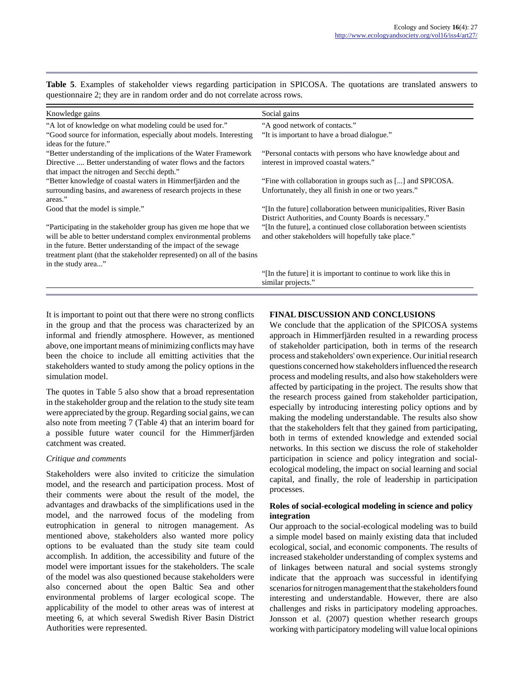**Table 5**. Examples of stakeholder views regarding participation in SPICOSA. The quotations are translated answers to questionnaire 2; they are in random order and do not correlate across rows.

| Knowledge gains                                                                                                                                                                                                                                                                                           | Social gains                                                                                                                 |
|-----------------------------------------------------------------------------------------------------------------------------------------------------------------------------------------------------------------------------------------------------------------------------------------------------------|------------------------------------------------------------------------------------------------------------------------------|
| "A lot of knowledge on what modeling could be used for."                                                                                                                                                                                                                                                  | "A good network of contacts."                                                                                                |
| "Good source for information, especially about models. Interesting<br>ideas for the future."                                                                                                                                                                                                              | "It is important to have a broad dialogue."                                                                                  |
| "Better understanding of the implications of the Water Framework"                                                                                                                                                                                                                                         | "Personal contacts with persons who have knowledge about and                                                                 |
| Directive  Better understanding of water flows and the factors<br>that impact the nitrogen and Secchi depth."                                                                                                                                                                                             | interest in improved coastal waters."                                                                                        |
| "Better knowledge of coastal waters in Himmerfjärden and the                                                                                                                                                                                                                                              | "Fine with collaboration in groups such as [] and SPICOSA.                                                                   |
| surrounding basins, and awareness of research projects in these<br>areas."                                                                                                                                                                                                                                | Unfortunately, they all finish in one or two years."                                                                         |
| Good that the model is simple."                                                                                                                                                                                                                                                                           | "[In the future] collaboration between municipalities, River Basin<br>District Authorities, and County Boards is necessary." |
| "Participating in the stakeholder group has given me hope that we<br>will be able to better understand complex environmental problems<br>in the future. Better understanding of the impact of the sewage<br>treatment plant (that the stakeholder represented) on all of the basins<br>in the study area" | "[In the future], a continued close collaboration between scientists<br>and other stakeholders will hopefully take place."   |
|                                                                                                                                                                                                                                                                                                           | "[In the future] it is important to continue to work like this in<br>similar projects."                                      |

It is important to point out that there were no strong conflicts in the group and that the process was characterized by an informal and friendly atmosphere. However, as mentioned above, one important means of minimizing conflicts may have been the choice to include all emitting activities that the stakeholders wanted to study among the policy options in the simulation model.

The quotes in Table 5 also show that a broad representation in the stakeholder group and the relation to the study site team were appreciated by the group. Regarding social gains, we can also note from meeting 7 (Table 4) that an interim board for a possible future water council for the Himmerfjärden catchment was created.

## *Critique and comments*

Stakeholders were also invited to criticize the simulation model, and the research and participation process. Most of their comments were about the result of the model, the advantages and drawbacks of the simplifications used in the model, and the narrowed focus of the modeling from eutrophication in general to nitrogen management. As mentioned above, stakeholders also wanted more policy options to be evaluated than the study site team could accomplish. In addition, the accessibility and future of the model were important issues for the stakeholders. The scale of the model was also questioned because stakeholders were also concerned about the open Baltic Sea and other environmental problems of larger ecological scope. The applicability of the model to other areas was of interest at meeting 6, at which several Swedish River Basin District Authorities were represented.

## **FINAL DISCUSSION AND CONCLUSIONS**

We conclude that the application of the SPICOSA systems approach in Himmerfjärden resulted in a rewarding process of stakeholder participation, both in terms of the research process and stakeholders' own experience. Our initial research questions concerned how stakeholders influenced the research process and modeling results, and also how stakeholders were affected by participating in the project. The results show that the research process gained from stakeholder participation, especially by introducing interesting policy options and by making the modeling understandable. The results also show that the stakeholders felt that they gained from participating, both in terms of extended knowledge and extended social networks. In this section we discuss the role of stakeholder participation in science and policy integration and socialecological modeling, the impact on social learning and social capital, and finally, the role of leadership in participation processes.

# **Roles of social-ecological modeling in science and policy integration**

Our approach to the social-ecological modeling was to build a simple model based on mainly existing data that included ecological, social, and economic components. The results of increased stakeholder understanding of complex systems and of linkages between natural and social systems strongly indicate that the approach was successful in identifying scenarios for nitrogen management that the stakeholders found interesting and understandable. However, there are also challenges and risks in participatory modeling approaches. Jonsson et al. (2007) question whether research groups working with participatory modeling will value local opinions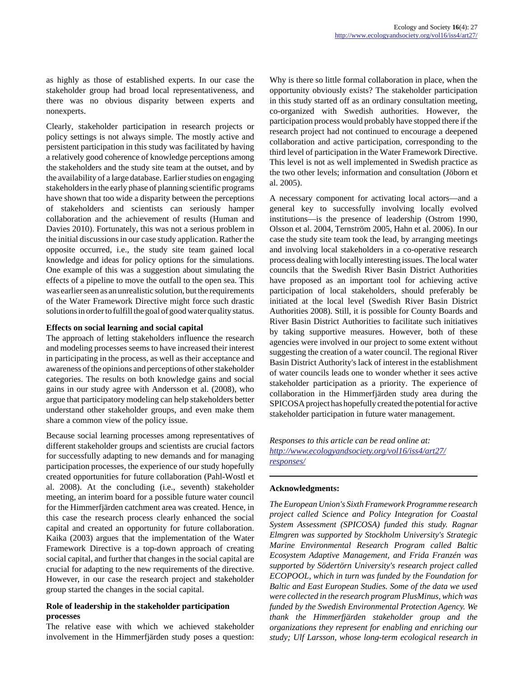as highly as those of established experts. In our case the stakeholder group had broad local representativeness, and there was no obvious disparity between experts and nonexperts.

Clearly, stakeholder participation in research projects or policy settings is not always simple. The mostly active and persistent participation in this study was facilitated by having a relatively good coherence of knowledge perceptions among the stakeholders and the study site team at the outset, and by the availability of a large database. Earlier studies on engaging stakeholders in the early phase of planning scientific programs have shown that too wide a disparity between the perceptions of stakeholders and scientists can seriously hamper collaboration and the achievement of results (Human and Davies 2010). Fortunately, this was not a serious problem in the initial discussions in our case study application. Rather the opposite occurred, i.e., the study site team gained local knowledge and ideas for policy options for the simulations. One example of this was a suggestion about simulating the effects of a pipeline to move the outfall to the open sea. This was earlier seen as an unrealistic solution, but the requirements of the Water Framework Directive might force such drastic solutions in order to fulfill the goal of good water quality status.

## **Effects on social learning and social capital**

The approach of letting stakeholders influence the research and modeling processes seems to have increased their interest in participating in the process, as well as their acceptance and awareness of the opinions and perceptions of other stakeholder categories. The results on both knowledge gains and social gains in our study agree with Andersson et al. (2008), who argue that participatory modeling can help stakeholders better understand other stakeholder groups, and even make them share a common view of the policy issue.

Because social learning processes among representatives of different stakeholder groups and scientists are crucial factors for successfully adapting to new demands and for managing participation processes, the experience of our study hopefully created opportunities for future collaboration (Pahl-Wostl et al. 2008). At the concluding (i.e., seventh) stakeholder meeting, an interim board for a possible future water council for the Himmerfjärden catchment area was created. Hence, in this case the research process clearly enhanced the social capital and created an opportunity for future collaboration. Kaika (2003) argues that the implementation of the Water Framework Directive is a top-down approach of creating social capital, and further that changes in the social capital are crucial for adapting to the new requirements of the directive. However, in our case the research project and stakeholder group started the changes in the social capital.

## **Role of leadership in the stakeholder participation processes**

The relative ease with which we achieved stakeholder involvement in the Himmerfjärden study poses a question: Why is there so little formal collaboration in place, when the opportunity obviously exists? The stakeholder participation in this study started off as an ordinary consultation meeting, co-organized with Swedish authorities. However, the participation process would probably have stopped there if the research project had not continued to encourage a deepened collaboration and active participation, corresponding to the third level of participation in the Water Framework Directive. This level is not as well implemented in Swedish practice as the two other levels; information and consultation (Jöborn et al. 2005).

A necessary component for activating local actors—and a general key to successfully involving locally evolved institutions—is the presence of leadership (Ostrom 1990, Olsson et al. 2004, Ternström 2005, Hahn et al. 2006). In our case the study site team took the lead, by arranging meetings and involving local stakeholders in a co-operative research process dealing with locally interesting issues. The local water councils that the Swedish River Basin District Authorities have proposed as an important tool for achieving active participation of local stakeholders, should preferably be initiated at the local level (Swedish River Basin District Authorities 2008). Still, it is possible for County Boards and River Basin District Authorities to facilitate such initiatives by taking supportive measures. However, both of these agencies were involved in our project to some extent without suggesting the creation of a water council. The regional River Basin District Authority's lack of interest in the establishment of water councils leads one to wonder whether it sees active stakeholder participation as a priority. The experience of collaboration in the Himmerfjärden study area during the SPICOSA project has hopefully created the potential for active stakeholder participation in future water management.

*Responses to this article can be read online at: [http://www](http://www.ecologyandsociety.org/vol16/iss4/art27/responses/).ecologyandsociety.org/vol16/iss4/art27/ responses/*

## **Acknowledgments:**

*The European Union's Sixth Framework Programme research project called Science and Policy Integration for Coastal System Assessment (SPICOSA) funded this study. Ragnar Elmgren was supported by Stockholm University's Strategic Marine Environmental Research Program called Baltic Ecosystem Adaptive Management, and Frida Franzén was supported by Södertörn University's research project called ECOPOOL, which in turn was funded by the Foundation for Baltic and East European Studies. Some of the data we used were collected in the research program PlusMinus, which was funded by the Swedish Environmental Protection Agency. We thank the Himmerfjärden stakeholder group and the organizations they represent for enabling and enriching our study; Ulf Larsson, whose long-term ecological research in*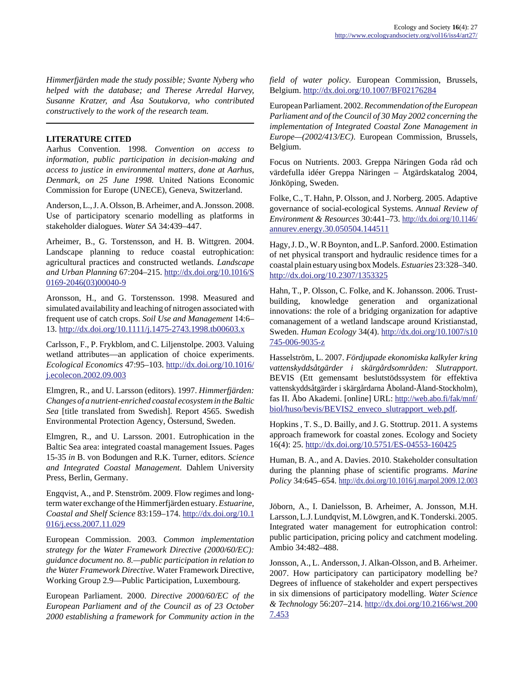*Himmerfjärden made the study possible; Svante Nyberg who helped with the database; and Therese Arredal Harvey, Susanne Kratzer, and Åsa Soutukorva, who contributed constructively to the work of the research team.* 

# **LITERATURE CITED**

Aarhus Convention. 1998. *Convention on access to information, public participation in decision-making and access to justice in environmental matters, done at Aarhus, Denmark, on 25 June 1998*. United Nations Economic Commission for Europe (UNECE), Geneva, Switzerland.

Anderson, L., J. A. Olsson, B. Arheimer, and A. Jonsson. 2008. Use of participatory scenario modelling as platforms in stakeholder dialogues. *Water SA* 34:439–447.

Arheimer, B., G. Torstensson, and H. B. Wittgren. 2004. Landscape planning to reduce coastal eutrophication: agricultural practices and constructed wetlands. *Landscape and Urban Planning* 67:204–215. [http://dx.doi.org/10.1016/S](http://dx.doi.org/10.1016/S0169-2046(03)00040-9) [0169-2046\(03\)00040-9](http://dx.doi.org/10.1016/S0169-2046(03)00040-9)

Aronsson, H., and G. Torstensson. 1998. Measured and simulated availability and leaching of nitrogen associated with frequent use of catch crops. *Soil Use and Management* 14:6– 13. <http://dx.doi.org/10.1111/j.1475-2743.1998.tb00603.x>

Carlsson, F., P. Frykblom, and C. Liljenstolpe. 2003. Valuing wetland attributes—an application of choice experiments. *Ecological Economics* 47:95–103. [http://dx.doi.org/10.1016/](http://dx.doi.org/10.1016/j.ecolecon.2002.09.003) [j.ecolecon.2002.09.003](http://dx.doi.org/10.1016/j.ecolecon.2002.09.003)

Elmgren, R., and U. Larsson (editors). 1997. *Himmerfjärden: Changes of a nutrient-enriched coastal ecosystem in the Baltic Sea* [title translated from Swedish]. Report 4565. Swedish Environmental Protection Agency, Östersund, Sweden.

Elmgren, R., and U. Larsson. 2001. Eutrophication in the Baltic Sea area: integrated coastal management Issues. Pages 15-35 *in* B. von Bodungen and R.K. Turner, editors. *Science and Integrated Coastal Management*. Dahlem University Press, Berlin, Germany.

Engqvist, A., and P. Stenström. 2009. Flow regimes and longterm water exchange of the Himmerfjärden estuary. *Estuarine, Coastal and Shelf Science* 83:159–174. [http://dx.doi.org/10.1](http://dx.doi.org/10.1016/j.ecss.2007.11.029) [016/j.ecss.2007.11.029](http://dx.doi.org/10.1016/j.ecss.2007.11.029)

European Commission. 2003. *Common implementation strategy for the Water Framework Directive (2000/60/EC): guidance document no. 8.—public participation in relation to the Water Framework Directive*. Water Framework Directive, Working Group 2.9—Public Participation, Luxembourg.

European Parliament. 2000. *Directive 2000/60/EC of the European Parliament and of the Council as of 23 October 2000 establishing a framework for Community action in the* *field of water policy*. European Commission, Brussels, Belgium.<http://dx.doi.org/10.1007/BF02176284>

European Parliament. 2002. *Recommendation of the European Parliament and of the Council of 30 May 2002 concerning the implementation of Integrated Coastal Zone Management in Europe—(2002/413/EC)*. European Commission, Brussels, Belgium.

Focus on Nutrients. 2003. Greppa Näringen Goda råd och värdefulla idéer Greppa Näringen – Åtgärdskatalog 2004, Jönköping, Sweden.

Folke, C., T. Hahn, P. Olsson, and J. Norberg. 2005. Adaptive governance of social-ecological Systems. *Annual Review of Environment & Resources* 30:441–73. [http://dx.doi.org/10.1146/](http://dx.doi.org/10.1146/annurev.energy.30.050504.144511) [annurev.energy.30.050504.144511](http://dx.doi.org/10.1146/annurev.energy.30.050504.144511)

Hagy, J. D., W. R Boynton, and L.P. Sanford. 2000. Estimation of net physical transport and hydraulic residence times for a coastal plain estuary using box Models. *Estuaries* 23:328–340. <http://dx.doi.org/10.2307/1353325>

Hahn, T., P. Olsson, C. Folke, and K. Johansson. 2006. Trustbuilding, knowledge generation and organizational innovations: the role of a bridging organization for adaptive comanagement of a wetland landscape around Kristianstad, Sweden. *Human Ecology* 34(4). [http://dx.doi.org/10.1007/s10](http://dx.doi.org/10.1007/s10745-006-9035-z) [745-006-9035-z](http://dx.doi.org/10.1007/s10745-006-9035-z)

Hasselström, L. 2007. *Fördjupade ekonomiska kalkyler kring vattenskyddsåtgärder i skärgårdsområden: Slutrapport*. BEVIS (Ett gemensamt beslutstödssystem för effektiva vattenskyddsåtgärder i skärgårdarna Åboland-Åland-Stockholm), fas II. Åbo Akademi. [online] URL: [http://web.abo.fi/fak/mnf/](http://web.abo.fi/fak/mnf/biol/huso/bevis/BEVIS2_enveco_slutrapport_web.pdf) [biol/huso/bevis/BEVIS2\\_enveco\\_slutrapport\\_web.pdf.](http://web.abo.fi/fak/mnf/biol/huso/bevis/BEVIS2_enveco_slutrapport_web.pdf)

Hopkins , T. S., D. Bailly, and J. G. Stottrup. 2011. A systems approach framework for coastal zones. Ecology and Society 16(4): 25. <http://dx.doi.org/10.5751/ES-04553-160425>

Human, B. A., and A. Davies. 2010. Stakeholder consultation during the planning phase of scientific programs. *Marine Policy* 34:645–654. <http://dx.doi.org/10.1016/j.marpol.2009.12.003>

Jöborn, A., I. Danielsson, B. Arheimer, A. Jonsson, M.H. Larsson, L.J. Lundqvist, M. Löwgren, and K. Tonderski. 2005. Integrated water management for eutrophication control: public participation, pricing policy and catchment modeling. Ambio 34:482–488.

Jonsson, A., L. Andersson, J. Alkan-Olsson, and B. Arheimer. 2007. How participatory can participatory modelling be? Degrees of influence of stakeholder and expert perspectives in six dimensions of participatory modelling. *Water Science & Technology* 56:207–214. [http://dx.doi.org/10.2166/wst.200](http://dx.doi.org/10.2166/wst.2007.453) [7.453](http://dx.doi.org/10.2166/wst.2007.453)